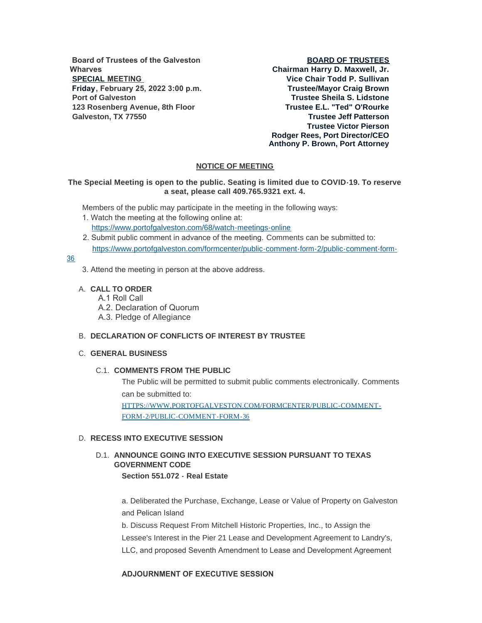**Board of Trustees of the Galveston Wharves SPECIAL MEETING Friday, February 25, 2022 3:00 p.m. Port of Galveston 123 Rosenberg Avenue, 8th Floor Galveston, TX 77550**

# **BOARD OF TRUSTEES**

**Chairman Harry D. Maxwell, Jr. Vice Chair Todd P. Sullivan Trustee/Mayor Craig Brown Trustee Sheila S. Lidstone Trustee E.L. "Ted" O'Rourke Trustee Jeff Patterson Trustee Victor Pierson Rodger Rees, Port Director/CEO Anthony P. Brown, Port Attorney**

# **NOTICE OF MEETING**

# **The Special Meeting is open to the public. Seating is limited due to COVID-19. To reserve a seat, please call 409.765.9321 ext. 4.**

Members of the public may participate in the meeting in the following ways:

- 1. Watch the meeting at the following online at: [https://www.portofgalveston.com/68/watch-meetings-online](https://www.portofgalveston.com/68/Watch-Meetings-Online)
- 2. Submit public comment in advance of the meeting. Comments can be submitted to: [https://www.portofgalveston.com/formcenter/public-comment-form-2/public-comment-form-](https://www.portofgalveston.com/formcenter/public-comment-form-2/public-comment-form-36)

# 36

- 3. Attend the meeting in person at the above address.
- **CALL TO ORDER** A.
	- A.1 Roll Call
	- A.2. Declaration of Quorum
	- A.3. Pledge of Allegiance

# **DECLARATION OF CONFLICTS OF INTEREST BY TRUSTEE** B.

# **GENERAL BUSINESS** C.

# **C.1. COMMENTS FROM THE PUBLIC**

The Public will be permitted to submit public comments electronically. Comments can be submitted to: [HTTPS://WWW.PORTOFGALVESTON.COM/FORMCENTER/PUBLIC-COMMENT-](https://www.portofgalveston.com/FORMCENTER/PUBLIC-COMMENT-FORM-2/PUBLIC-COMMENT-FORM-36)FORM-2/PUBLIC-COMMENT-FORM-36

# D. RECESS INTO EXECUTIVE SESSION

# D.1. ANNOUNCE GOING INTO EXECUTIVE SESSION PURSUANT TO TEXAS **GOVERNMENT CODE Section 551.072 - Real Estate**

a. Deliberated the Purchase, Exchange, Lease or Value of Property on Galveston and Pelican Island

b. Discuss Request From Mitchell Historic Properties, Inc., to Assign the Lessee's Interest in the Pier 21 Lease and Development Agreement to Landry's, LLC, and proposed Seventh Amendment to Lease and Development Agreement

# **ADJOURNMENT OF EXECUTIVE SESSION**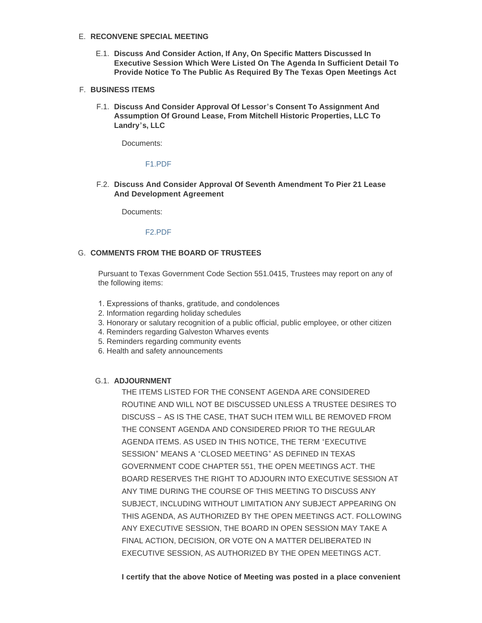# **RECONVENE SPECIAL MEETING** E.

**Discuss And Consider Action, If Any, On Specific Matters Discussed In**  E.1. **Executive Session Which Were Listed On The Agenda In Sufficient Detail To Provide Notice To The Public As Required By The Texas Open Meetings Act** 

# **BUSINESS ITEMS** F.

**Discuss And Consider Approval Of Lessor's Consent To Assignment And**  F.1. **Assumption Of Ground Lease, From Mitchell Historic Properties, LLC To Landry's, LLC**

Documents:

### [F1.PDF](https://www.portofgalveston.com/AgendaCenter/ViewFile/Item/4711?fileID=8379)

**Discuss And Consider Approval Of Seventh Amendment To Pier 21 Lease**  F.2. **And Development Agreement**

Documents:

### [F2.PDF](https://www.portofgalveston.com/AgendaCenter/ViewFile/Item/4712?fileID=8378)

# G. COMMENTS FROM THE BOARD OF TRUSTEES

Pursuant to Texas Government Code Section 551.0415, Trustees may report on any of the following items:

- 1. Expressions of thanks, gratitude, and condolences
- 2. Information regarding holiday schedules
- 3. Honorary or salutary recognition of a public official, public employee, or other citizen
- 4. Reminders regarding Galveston Wharves events
- 5. Reminders regarding community events
- 6. Health and safety announcements

# G.1. **ADJOURNMENT**

THE ITEMS LISTED FOR THE CONSENT AGENDA ARE CONSIDERED ROUTINE AND WILL NOT BE DISCUSSED UNLESS A TRUSTEE DESIRES TO DISCUSS – AS IS THE CASE, THAT SUCH ITEM WILL BE REMOVED FROM THE CONSENT AGENDA AND CONSIDERED PRIOR TO THE REGULAR AGENDA ITEMS. AS USED IN THIS NOTICE, THE TERM "EXECUTIVE SESSION" MEANS A "CLOSED MEETING" AS DEFINED IN TEXAS GOVERNMENT CODE CHAPTER 551, THE OPEN MEETINGS ACT. THE BOARD RESERVES THE RIGHT TO ADJOURN INTO EXECUTIVE SESSION AT ANY TIME DURING THE COURSE OF THIS MEETING TO DISCUSS ANY SUBJECT, INCLUDING WITHOUT LIMITATION ANY SUBJECT APPEARING ON THIS AGENDA, AS AUTHORIZED BY THE OPEN MEETINGS ACT. FOLLOWING ANY EXECUTIVE SESSION, THE BOARD IN OPEN SESSION MAY TAKE A FINAL ACTION, DECISION, OR VOTE ON A MATTER DELIBERATED IN EXECUTIVE SESSION, AS AUTHORIZED BY THE OPEN MEETINGS ACT.

**I certify that the above Notice of Meeting was posted in a place convenient**